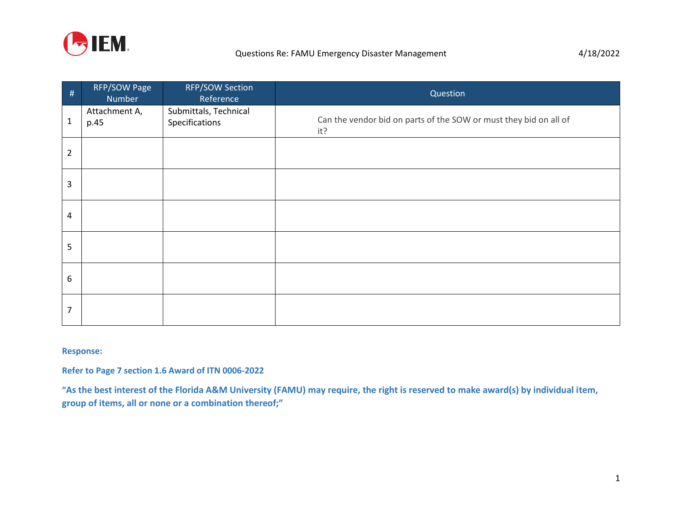

| $\#$           | RFP/SOW Page<br>Number | <b>RFP/SOW Section</b><br>Reference     | Question                                                                 |
|----------------|------------------------|-----------------------------------------|--------------------------------------------------------------------------|
| $\mathbf{1}$   | Attachment A,<br>p.45  | Submittals, Technical<br>Specifications | Can the vendor bid on parts of the SOW or must they bid on all of<br>it? |
| $\overline{2}$ |                        |                                         |                                                                          |
| 3              |                        |                                         |                                                                          |
| $\overline{4}$ |                        |                                         |                                                                          |
| 5              |                        |                                         |                                                                          |
| 6              |                        |                                         |                                                                          |
| 7              |                        |                                         |                                                                          |

## **Response:**

**Refer to Page 7 section 1.6 Award of ITN 0006-2022**

**"As the best interest of the Florida A&M University (FAMU) may require, the right is reserved to make award(s) by individual item, group of items, all or none or a combination thereof;"**